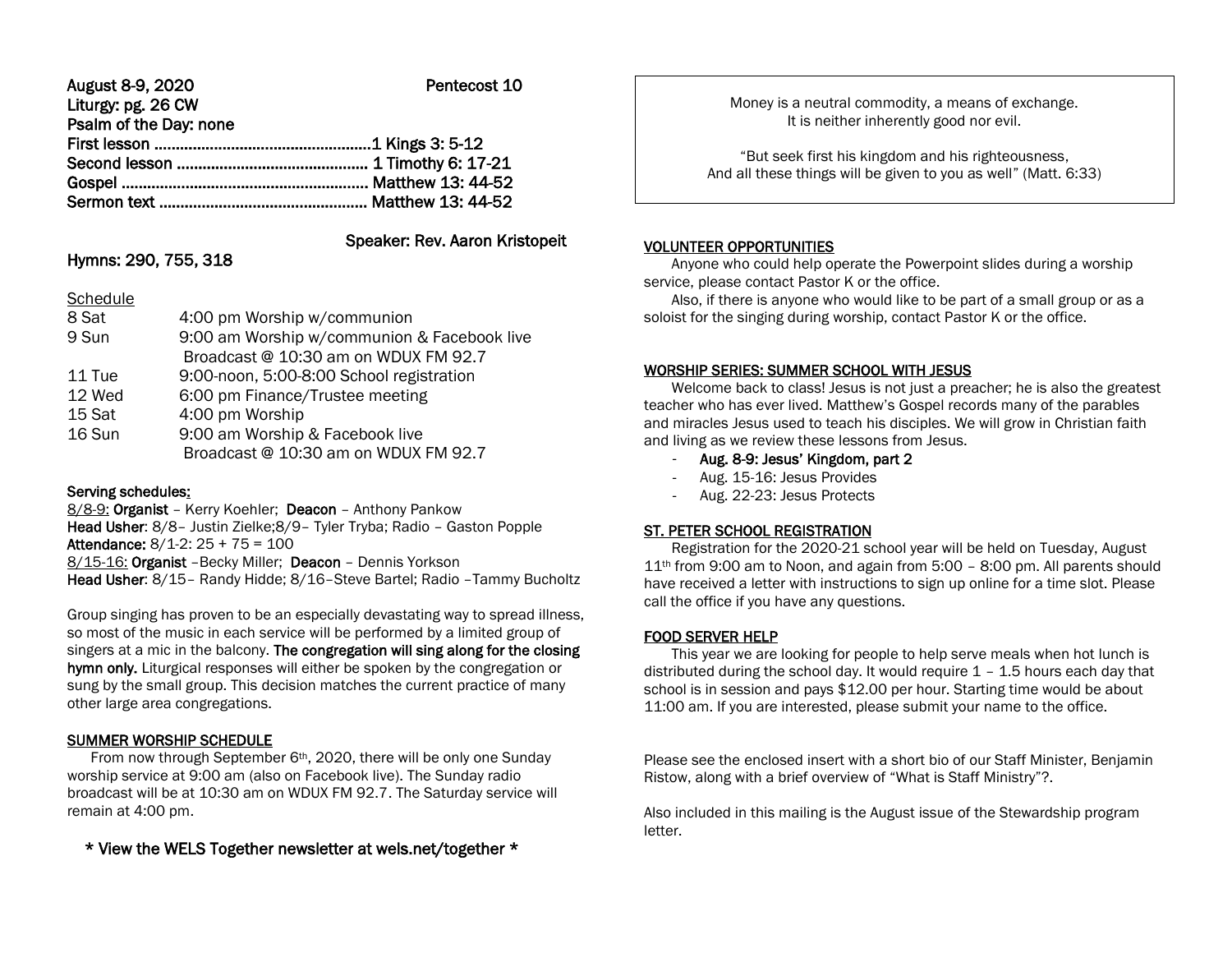| August 8-9, 2020       | Pentecost 10 |
|------------------------|--------------|
| Liturgy: pg. 26 CW     |              |
| Psalm of the Day: none |              |
|                        |              |
|                        |              |
|                        |              |
|                        |              |

# Speaker: Rev. Aaron Kristopeit

# Hymns: 290, 755, 318

| Schedule |                                             |
|----------|---------------------------------------------|
| 8 Sat    | 4:00 pm Worship w/communion                 |
| 9 Sun    | 9:00 am Worship w/communion & Facebook live |
|          | Broadcast @ 10:30 am on WDUX FM 92.7        |
| 11 Tue   | 9:00-noon, 5:00-8:00 School registration    |
| 12 Wed   | 6:00 pm Finance/Trustee meeting             |
| 15 Sat   | 4:00 pm Worship                             |
| 16 Sun   | 9:00 am Worship & Facebook live             |
|          | Broadcast @ 10:30 am on WDUX FM 92.7        |
|          |                                             |

### Serving schedules:

8/8-9: Organist – Kerry Koehler; Deacon – Anthony Pankow Head Usher: 8/8– Justin Zielke;8/9– Tyler Tryba; Radio – Gaston Popple Attendance: 8/1-2: 25 + 75 = 100 8/15-16: Organist –Becky Miller; Deacon – Dennis Yorkson Head Usher: 8/15– Randy Hidde; 8/16–Steve Bartel; Radio –Tammy Bucholtz

Group singing has proven to be an especially devastating way to spread illness, so most of the music in each service will be performed by a limited group of singers at a mic in the balcony. The congregation will sing along for the closing hymn only. Liturgical responses will either be spoken by the congregation or sung by the small group. This decision matches the current practice of many other large area congregations.

# SUMMER WORSHIP SCHEDULE

From now through September 6<sup>th</sup>, 2020, there will be only one Sunday worship service at 9:00 am (also on Facebook live). The Sunday radio broadcast will be at 10:30 am on WDUX FM 92.7. The Saturday service will remain at 4:00 pm.

\* View the WELS Together newsletter at wels.net/together \*

Money is a neutral commodity, a means of exchange. It is neither inherently good nor evil.

"But seek first his kingdom and his righteousness, And all these things will be given to you as well" (Matt. 6:33)

#### VOLUNTEER OPPORTUNITIES

Ι

 Anyone who could help operate the Powerpoint slides during a worship service, please contact Pastor K or the office.

 Also, if there is anyone who would like to be part of a small group or as a soloist for the singing during worship, contact Pastor K or the office.

## WORSHIP SERIES: SUMMER SCHOOL WITH JESUS

 Welcome back to class! Jesus is not just a preacher; he is also the greatest teacher who has ever lived. Matthew's Gospel records many of the parables and miracles Jesus used to teach his disciples. We will grow in Christian faith and living as we review these lessons from Jesus.

- Aug. 8-9: Jesus' Kingdom, part 2
- Aug. 15-16: Jesus Provides
- Aug. 22-23: Jesus Protects

### ST. PETER SCHOOL REGISTRATION

 Registration for the 2020-21 school year will be held on Tuesday, August  $11<sup>th</sup>$  from 9:00 am to Noon, and again from 5:00 – 8:00 pm. All parents should have received a letter with instructions to sign up online for a time slot. Please call the office if you have any questions.

# FOOD SERVER HELP

 This year we are looking for people to help serve meals when hot lunch is distributed during the school day. It would require  $1 - 1.5$  hours each day that school is in session and pays \$12.00 per hour. Starting time would be about 11:00 am. If you are interested, please submit your name to the office.

Please see the enclosed insert with a short bio of our Staff Minister, Benjamin Ristow, along with a brief overview of "What is Staff Ministry"?.

Also included in this mailing is the August issue of the Stewardship program letter.